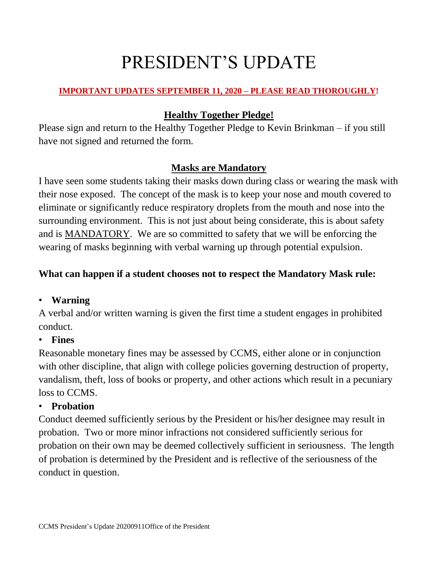# PRESIDENT'S UPDATE

## **IMPORTANT UPDATES SEPTEMBER 11, 2020 – PLEASE READ THOROUGHLY!**

## **Healthy Together Pledge!**

Please sign and return to the Healthy Together Pledge to Kevin Brinkman – if you still have not signed and returned the form.

## **Masks are Mandatory**

I have seen some students taking their masks down during class or wearing the mask with their nose exposed. The concept of the mask is to keep your nose and mouth covered to eliminate or significantly reduce respiratory droplets from the mouth and nose into the surrounding environment. This is not just about being considerate, this is about safety and is MANDATORY. We are so committed to safety that we will be enforcing the wearing of masks beginning with verbal warning up through potential expulsion.

## **What can happen if a student chooses not to respect the Mandatory Mask rule:**

## • **Warning**

A verbal and/or written warning is given the first time a student engages in prohibited conduct.

#### • **Fines**

Reasonable monetary fines may be assessed by CCMS, either alone or in conjunction with other discipline, that align with college policies governing destruction of property, vandalism, theft, loss of books or property, and other actions which result in a pecuniary loss to CCMS.

#### • **Probation**

Conduct deemed sufficiently serious by the President or his/her designee may result in probation. Two or more minor infractions not considered sufficiently serious for probation on their own may be deemed collectively sufficient in seriousness. The length of probation is determined by the President and is reflective of the seriousness of the conduct in question.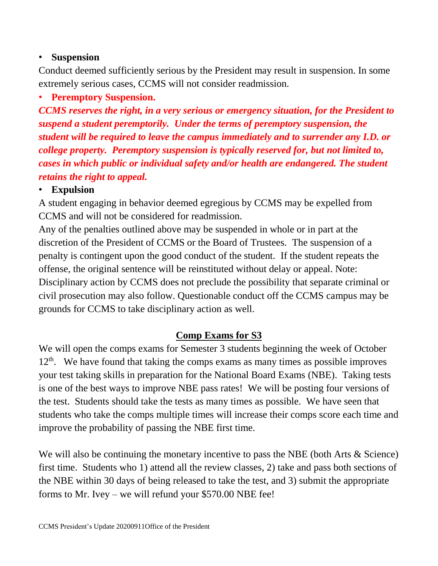#### • **Suspension**

Conduct deemed sufficiently serious by the President may result in suspension. In some extremely serious cases, CCMS will not consider readmission.

## • **Peremptory Suspension.**

*CCMS reserves the right, in a very serious or emergency situation, for the President to suspend a student peremptorily. Under the terms of peremptory suspension, the student will be required to leave the campus immediately and to surrender any I.D. or college property. Peremptory suspension is typically reserved for, but not limited to, cases in which public or individual safety and/or health are endangered. The student retains the right to appeal.*

#### • **Expulsion**

A student engaging in behavior deemed egregious by CCMS may be expelled from CCMS and will not be considered for readmission.

Any of the penalties outlined above may be suspended in whole or in part at the discretion of the President of CCMS or the Board of Trustees. The suspension of a penalty is contingent upon the good conduct of the student. If the student repeats the offense, the original sentence will be reinstituted without delay or appeal. Note: Disciplinary action by CCMS does not preclude the possibility that separate criminal or civil prosecution may also follow. Questionable conduct off the CCMS campus may be grounds for CCMS to take disciplinary action as well.

#### **Comp Exams for S3**

We will open the comps exams for Semester 3 students beginning the week of October  $12<sup>th</sup>$ . We have found that taking the comps exams as many times as possible improves your test taking skills in preparation for the National Board Exams (NBE). Taking tests is one of the best ways to improve NBE pass rates! We will be posting four versions of the test. Students should take the tests as many times as possible. We have seen that students who take the comps multiple times will increase their comps score each time and improve the probability of passing the NBE first time.

We will also be continuing the monetary incentive to pass the NBE (both Arts & Science) first time. Students who 1) attend all the review classes, 2) take and pass both sections of the NBE within 30 days of being released to take the test, and 3) submit the appropriate forms to Mr. Ivey – we will refund your \$570.00 NBE fee!